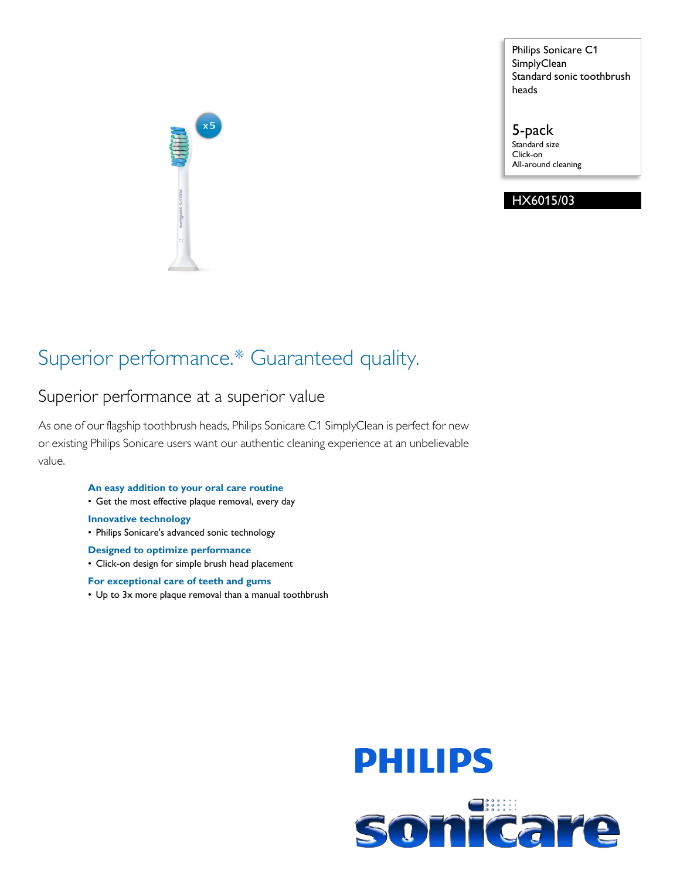

Philips Sonicare C1 **SimplyClean** Standard sonic toothbrush heads

5-pack Standard size Click-on All-around cleaning

### HX6015/03

## Superior performance.\* Guaranteed quality.

### Superior performance at a superior value

As one of our flagship toothbrush heads, Philips Sonicare C1 SimplyClean is perfect for new or existing Philips Sonicare users want our authentic cleaning experience at an unbelievable value.

#### **An easy addition to your oral care routine**

• Get the most effective plaque removal, every day

#### **Innovative technology**

- Philips Sonicare's advanced sonic technology
- **Designed to optimize performance**
- Click-on design for simple brush head placement

#### **For exceptional care of teeth and gums**

• Up to 3x more plaque removal than a manual toothbrush